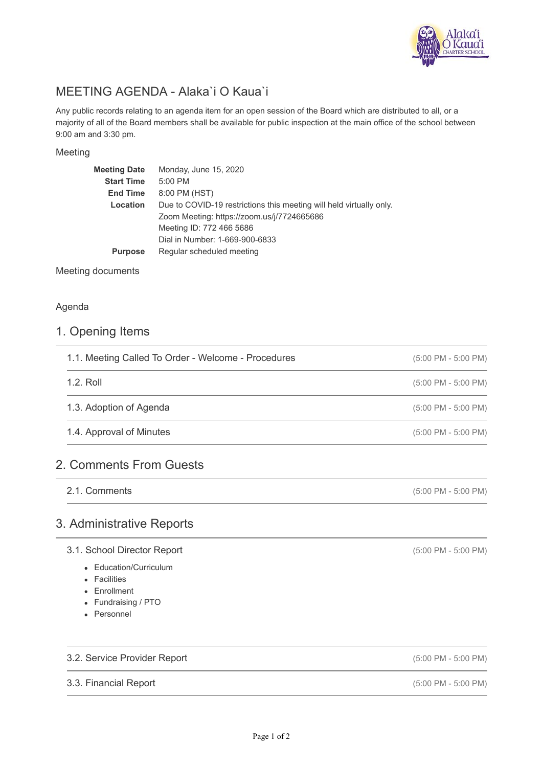

# MEETING AGENDA - Alaka`i O Kaua`i

Any public records relating to an agenda item for an open session of the Board which are distributed to all, or a majority of all of the Board members shall be available for public inspection at the main office of the school between 9:00 am and 3:30 pm.

#### Meeting

| <b>Meeting Date</b> | Monday, June 15, 2020                                               |
|---------------------|---------------------------------------------------------------------|
| <b>Start Time</b>   | 5:00 PM                                                             |
| <b>End Time</b>     | 8:00 PM (HST)                                                       |
| Location            | Due to COVID-19 restrictions this meeting will held virtually only. |
|                     | Zoom Meeting: https://zoom.us/j/7724665686                          |
|                     | Meeting ID: 772 466 5686                                            |
|                     | Dial in Number: 1-669-900-6833                                      |
| <b>Purpose</b>      | Regular scheduled meeting                                           |
|                     |                                                                     |

Meeting documents

#### Agenda

### 1. Opening Items

| 1.1. Meeting Called To Order - Welcome - Procedures | $(5:00 \text{ PM} - 5:00 \text{ PM})$ |
|-----------------------------------------------------|---------------------------------------|
| 1.2. Roll                                           | $(5:00 \text{ PM} - 5:00 \text{ PM})$ |
| 1.3. Adoption of Agenda                             | $(5:00 \text{ PM} - 5:00 \text{ PM})$ |
| 1.4. Approval of Minutes                            | $(5:00 \text{ PM} - 5:00 \text{ PM})$ |

## 2. Comments From Guests

2.1. Comments

### 3. Administrative Reports

- 3.1. School Director Report
	- Education/Curriculum
	- Facilities
	- Enrollment
	- Fundraising / PTO
	- Personnel

### 3.2. Service Provider Report

#### 3.3. Financial Report

(5:00 PM - 5:00 PM)

(5:00 PM - 5:00 PM)

(5:00 PM - 5:00 PM)

(5:00 PM - 5:00 PM)